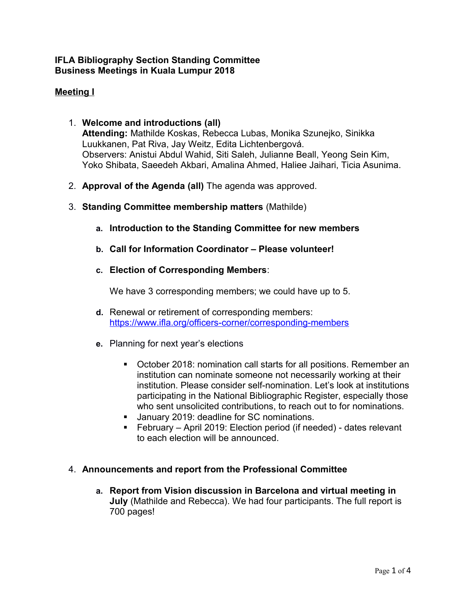## **IFLA Bibliography Section Standing Committee Business Meetings in Kuala Lumpur 2018**

# **Meeting I**

- 1. **Welcome and introductions (all) Attending:** Mathilde Koskas, Rebecca Lubas, Monika Szunejko, Sinikka Luukkanen, Pat Riva, Jay Weitz, Edita Lichtenbergová. Observers: Anistui Abdul Wahid, Siti Saleh, Julianne Beall, Yeong Sein Kim, Yoko Shibata, Saeedeh Akbari, Amalina Ahmed, Haliee Jaihari, Ticia Asunima.
- 2. **Approval of the Agenda (all)** The agenda was approved.
- 3. **Standing Committee membership matters** (Mathilde)
	- **a. Introduction to the Standing Committee for new members**
	- **b. Call for Information Coordinator Please volunteer!**
	- **c. Election of Corresponding Members**:

We have 3 corresponding members; we could have up to 5.

- **d.** Renewal or retirement of corresponding members: <https://www.ifla.org/officers-corner/corresponding-members>
- **e.** Planning for next year's elections
	- October 2018: nomination call starts for all positions. Remember an institution can nominate someone not necessarily working at their institution. Please consider self-nomination. Let's look at institutions participating in the National Bibliographic Register, especially those who sent unsolicited contributions, to reach out to for nominations.
	- **January 2019: deadline for SC nominations.**
	- February April 2019: Election period (if needed) dates relevant to each election will be announced.

#### 4. **Announcements and report from the Professional Committee**

**a. Report from Vision discussion in Barcelona and virtual meeting in July** (Mathilde and Rebecca). We had four participants. The full report is 700 pages!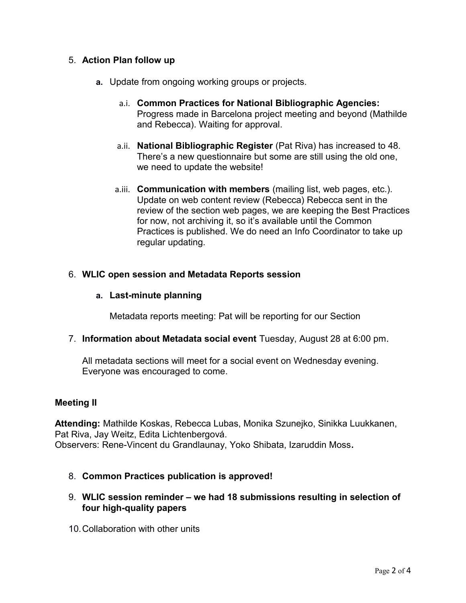# 5. **Action Plan follow up**

- **a.** Update from ongoing working groups or projects.
	- a.i. **Common Practices for National Bibliographic Agencies:** Progress made in Barcelona project meeting and beyond (Mathilde and Rebecca). Waiting for approval.
	- a.ii. **National Bibliographic Register** (Pat Riva) has increased to 48. There's a new questionnaire but some are still using the old one, we need to update the website!
	- a.iii. **Communication with members** (mailing list, web pages, etc.). Update on web content review (Rebecca) Rebecca sent in the review of the section web pages, we are keeping the Best Practices for now, not archiving it, so it's available until the Common Practices is published. We do need an Info Coordinator to take up regular updating.

## 6. **WLIC open session and Metadata Reports session**

## **a. Last-minute planning**

Metadata reports meeting: Pat will be reporting for our Section

## 7. **Information about Metadata social event** Tuesday, August 28 at 6:00 pm.

All metadata sections will meet for a social event on Wednesday evening. Everyone was encouraged to come.

## **Meeting II**

**Attending:** Mathilde Koskas, Rebecca Lubas, Monika Szunejko, Sinikka Luukkanen, Pat Riva, Jay Weitz, Edita Lichtenbergová. Observers: Rene-Vincent du Grandlaunay, Yoko Shibata, Izaruddin Moss**.**

## 8. **Common Practices publication is approved!**

# 9. **WLIC session reminder – we had 18 submissions resulting in selection of four high-quality papers**

10.Collaboration with other units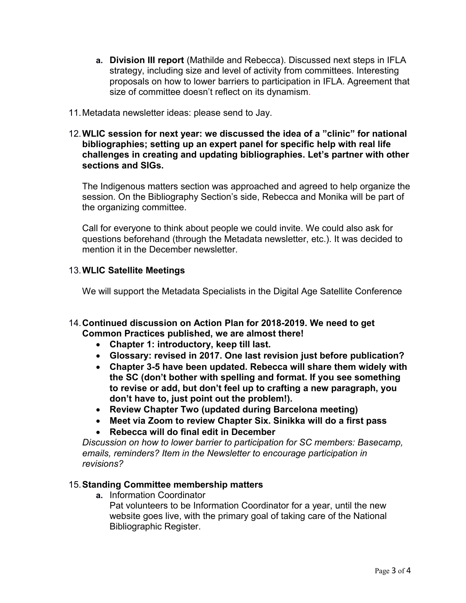- **a. Division III report** (Mathilde and Rebecca). Discussed next steps in IFLA strategy, including size and level of activity from committees. Interesting proposals on how to lower barriers to participation in IFLA. Agreement that size of committee doesn't reflect on its dynamism*.*
- 11.Metadata newsletter ideas: please send to Jay.

#### 12.**WLIC session for next year: we discussed the idea of a "clinic" for national bibliographies; setting up an expert panel for specific help with real life challenges in creating and updating bibliographies. Let's partner with other sections and SIGs.**

The Indigenous matters section was approached and agreed to help organize the session. On the Bibliography Section's side, Rebecca and Monika will be part of the organizing committee.

Call for everyone to think about people we could invite. We could also ask for questions beforehand (through the Metadata newsletter, etc.). It was decided to mention it in the December newsletter.

## 13.**WLIC Satellite Meetings**

We will support the Metadata Specialists in the Digital Age Satellite Conference

## 14.**Continued discussion on Action Plan for 2018-2019. We need to get Common Practices published, we are almost there!**

- **Chapter 1: introductory, keep till last.**
- **Glossary: revised in 2017. One last revision just before publication?**
- **Chapter 3-5 have been updated. Rebecca will share them widely with the SC (don't bother with spelling and format. If you see something to revise or add, but don't feel up to crafting a new paragraph, you don't have to, just point out the problem!).**
- **Review Chapter Two (updated during Barcelona meeting)**
- **Meet via Zoom to review Chapter Six. Sinikka will do a first pass**
- **Rebecca will do final edit in December**

*Discussion on how to lower barrier to participation for SC members: Basecamp, emails, reminders? Item in the Newsletter to encourage participation in revisions?*

#### 15.**Standing Committee membership matters**

**a.** Information Coordinator

Pat volunteers to be Information Coordinator for a year, until the new website goes live, with the primary goal of taking care of the National Bibliographic Register.